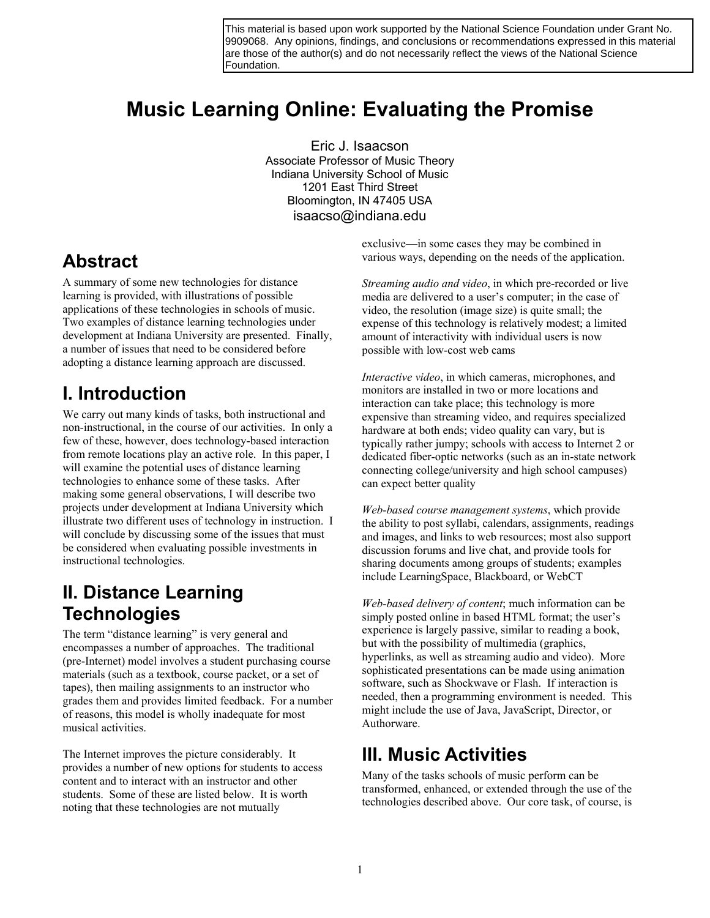9909068. Any opinions, findings, and conclusions or recommendations expressed in this material are those of the author(s) and do not necessarily reflect the views of the National Science Foundation.

# **Music Learning Online: Evaluating the Promise**

Eric J. Isaacson Associate Professor of Music Theory Indiana University School of Music 1201 East Third Street Bloomington, IN 47405 USA isaacso@indiana.edu

#### **Abstract**

A summary of some new technologies for distance learning is provided, with illustrations of possible applications of these technologies in schools of music. Two examples of distance learning technologies under development at Indiana University are presented. Finally, a number of issues that need to be considered before adopting a distance learning approach are discussed.

#### **I. Introduction**

We carry out many kinds of tasks, both instructional and non-instructional, in the course of our activities. In only a few of these, however, does technology-based interaction from remote locations play an active role. In this paper, I will examine the potential uses of distance learning technologies to enhance some of these tasks. After making some general observations, I will describe two projects under development at Indiana University which illustrate two different uses of technology in instruction. I will conclude by discussing some of the issues that must be considered when evaluating possible investments in instructional technologies.

#### **II. Distance Learning Technologies**

The term "distance learning" is very general and encompasses a number of approaches. The traditional (pre-Internet) model involves a student purchasing course materials (such as a textbook, course packet, or a set of tapes), then mailing assignments to an instructor who grades them and provides limited feedback. For a number of reasons, this model is wholly inadequate for most musical activities.

The Internet improves the picture considerably. It provides a number of new options for students to access content and to interact with an instructor and other students. Some of these are listed below. It is worth noting that these technologies are not mutually

exclusive—in some cases they may be combined in various ways, depending on the needs of the application.

*Streaming audio and video*, in which pre-recorded or live media are delivered to a user's computer; in the case of video, the resolution (image size) is quite small; the expense of this technology is relatively modest; a limited amount of interactivity with individual users is now possible with low-cost web cams

*Interactive video*, in which cameras, microphones, and monitors are installed in two or more locations and interaction can take place; this technology is more expensive than streaming video, and requires specialized hardware at both ends; video quality can vary, but is typically rather jumpy; schools with access to Internet 2 or dedicated fiber-optic networks (such as an in-state network connecting college/university and high school campuses) can expect better quality

*Web-based course management systems*, which provide the ability to post syllabi, calendars, assignments, readings and images, and links to web resources; most also support discussion forums and live chat, and provide tools for sharing documents among groups of students; examples include LearningSpace, Blackboard, or WebCT

*Web-based delivery of content*; much information can be simply posted online in based HTML format; the user's experience is largely passive, similar to reading a book, but with the possibility of multimedia (graphics, hyperlinks, as well as streaming audio and video). More sophisticated presentations can be made using animation software, such as Shockwave or Flash. If interaction is needed, then a programming environment is needed. This might include the use of Java, JavaScript, Director, or Authorware. This material is based upon work supported by the National Science Foundation and Science Foundation 2.<br>
From the state of the National Science Foundation under Grant No.<br>
From the state of the National Science Foundation

#### **III. Music Activities**

Many of the tasks schools of music perform can be transformed, enhanced, or extended through the use of the technologies described above. Our core task, of course, is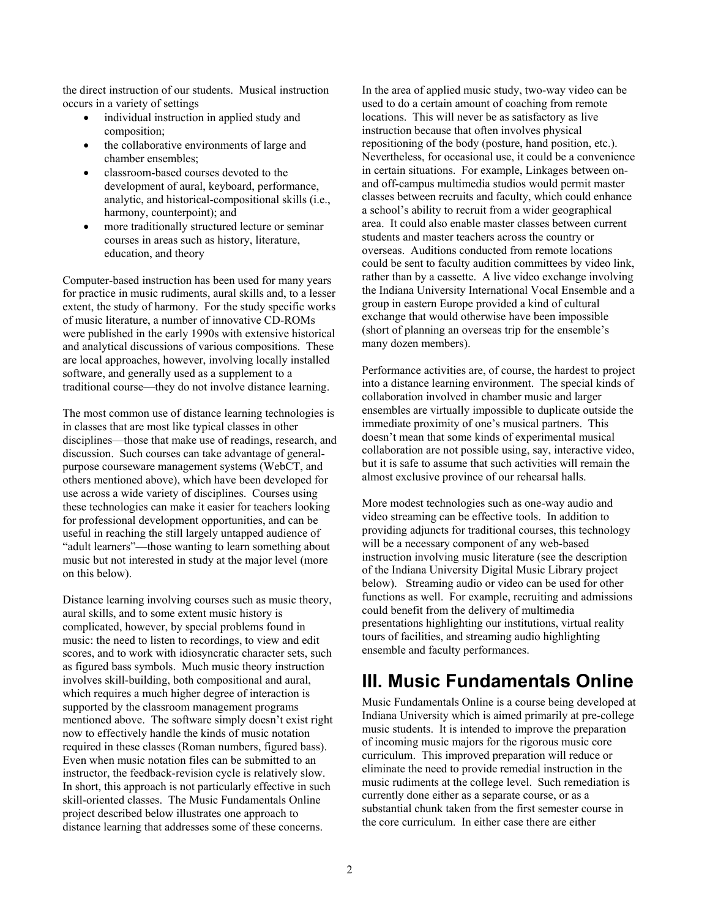the direct instruction of our students. Musical instruction occurs in a variety of settings

- individual instruction in applied study and composition;
- the collaborative environments of large and chamber ensembles;
- classroom-based courses devoted to the development of aural, keyboard, performance, analytic, and historical-compositional skills (i.e., harmony, counterpoint); and
- more traditionally structured lecture or seminar courses in areas such as history, literature, education, and theory

Computer-based instruction has been used for many years for practice in music rudiments, aural skills and, to a lesser extent, the study of harmony. For the study specific works of music literature, a number of innovative CD-ROMs were published in the early 1990s with extensive historical and analytical discussions of various compositions. These are local approaches, however, involving locally installed software, and generally used as a supplement to a traditional course—they do not involve distance learning.

The most common use of distance learning technologies is in classes that are most like typical classes in other disciplines—those that make use of readings, research, and discussion. Such courses can take advantage of generalpurpose courseware management systems (WebCT, and others mentioned above), which have been developed for use across a wide variety of disciplines. Courses using these technologies can make it easier for teachers looking for professional development opportunities, and can be useful in reaching the still largely untapped audience of "adult learners"—those wanting to learn something about music but not interested in study at the major level (more on this below).

Distance learning involving courses such as music theory, aural skills, and to some extent music history is complicated, however, by special problems found in music: the need to listen to recordings, to view and edit scores, and to work with idiosyncratic character sets, such as figured bass symbols. Much music theory instruction involves skill-building, both compositional and aural, which requires a much higher degree of interaction is supported by the classroom management programs mentioned above. The software simply doesn't exist right now to effectively handle the kinds of music notation required in these classes (Roman numbers, figured bass). Even when music notation files can be submitted to an instructor, the feedback-revision cycle is relatively slow. In short, this approach is not particularly effective in such skill-oriented classes. The Music Fundamentals Online project described below illustrates one approach to distance learning that addresses some of these concerns.

In the area of applied music study, two-way video can be used to do a certain amount of coaching from remote locations. This will never be as satisfactory as live instruction because that often involves physical repositioning of the body (posture, hand position, etc.). Nevertheless, for occasional use, it could be a convenience in certain situations. For example, Linkages between onand off-campus multimedia studios would permit master classes between recruits and faculty, which could enhance a school's ability to recruit from a wider geographical area. It could also enable master classes between current students and master teachers across the country or overseas. Auditions conducted from remote locations could be sent to faculty audition committees by video link, rather than by a cassette. A live video exchange involving the Indiana University International Vocal Ensemble and a group in eastern Europe provided a kind of cultural exchange that would otherwise have been impossible (short of planning an overseas trip for the ensemble's many dozen members).

Performance activities are, of course, the hardest to project into a distance learning environment. The special kinds of collaboration involved in chamber music and larger ensembles are virtually impossible to duplicate outside the immediate proximity of one's musical partners. This doesn't mean that some kinds of experimental musical collaboration are not possible using, say, interactive video, but it is safe to assume that such activities will remain the almost exclusive province of our rehearsal halls.

More modest technologies such as one-way audio and video streaming can be effective tools. In addition to providing adjuncts for traditional courses, this technology will be a necessary component of any web-based instruction involving music literature (see the description of the Indiana University Digital Music Library project below). Streaming audio or video can be used for other functions as well. For example, recruiting and admissions could benefit from the delivery of multimedia presentations highlighting our institutions, virtual reality tours of facilities, and streaming audio highlighting ensemble and faculty performances.

### **III. Music Fundamentals Online**

Music Fundamentals Online is a course being developed at Indiana University which is aimed primarily at pre-college music students. It is intended to improve the preparation of incoming music majors for the rigorous music core curriculum. This improved preparation will reduce or eliminate the need to provide remedial instruction in the music rudiments at the college level. Such remediation is currently done either as a separate course, or as a substantial chunk taken from the first semester course in the core curriculum. In either case there are either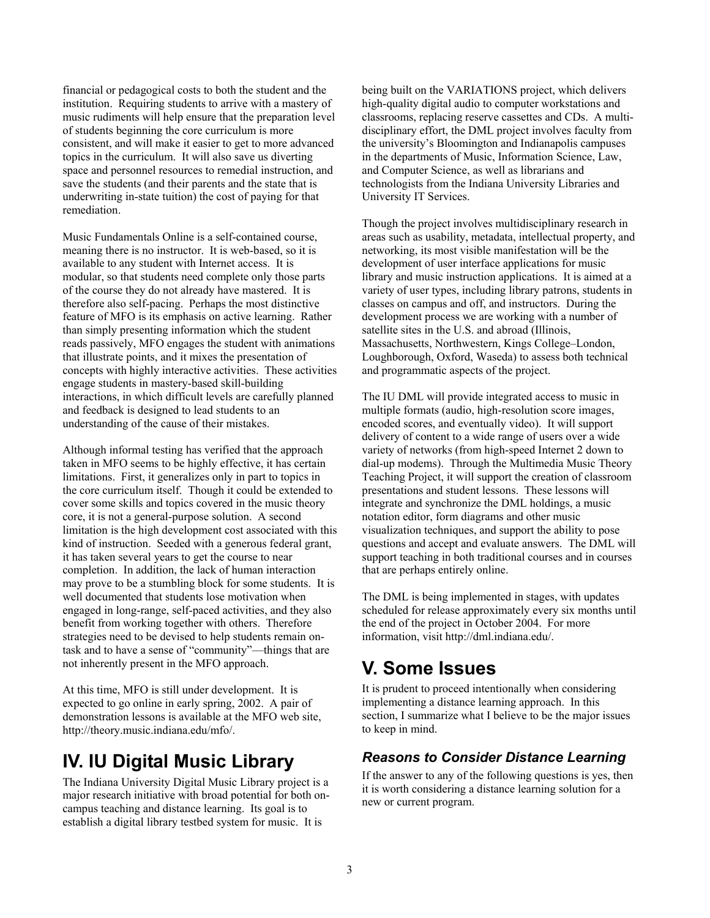financial or pedagogical costs to both the student and the institution. Requiring students to arrive with a mastery of music rudiments will help ensure that the preparation level of students beginning the core curriculum is more consistent, and will make it easier to get to more advanced topics in the curriculum. It will also save us diverting space and personnel resources to remedial instruction, and save the students (and their parents and the state that is underwriting in-state tuition) the cost of paying for that remediation.

Music Fundamentals Online is a self-contained course, meaning there is no instructor. It is web-based, so it is available to any student with Internet access. It is modular, so that students need complete only those parts of the course they do not already have mastered. It is therefore also self-pacing. Perhaps the most distinctive feature of MFO is its emphasis on active learning. Rather than simply presenting information which the student reads passively, MFO engages the student with animations that illustrate points, and it mixes the presentation of concepts with highly interactive activities. These activities engage students in mastery-based skill-building interactions, in which difficult levels are carefully planned and feedback is designed to lead students to an understanding of the cause of their mistakes.

Although informal testing has verified that the approach taken in MFO seems to be highly effective, it has certain limitations. First, it generalizes only in part to topics in the core curriculum itself. Though it could be extended to cover some skills and topics covered in the music theory core, it is not a general-purpose solution. A second limitation is the high development cost associated with this kind of instruction. Seeded with a generous federal grant, it has taken several years to get the course to near completion. In addition, the lack of human interaction may prove to be a stumbling block for some students. It is well documented that students lose motivation when engaged in long-range, self-paced activities, and they also benefit from working together with others. Therefore strategies need to be devised to help students remain ontask and to have a sense of "community"—things that are not inherently present in the MFO approach.

At this time, MFO is still under development. It is expected to go online in early spring, 2002. A pair of demonstration lessons is available at the MFO web site, http://theory.music.indiana.edu/mfo/.

## **IV. IU Digital Music Library**

The Indiana University Digital Music Library project is a major research initiative with broad potential for both oncampus teaching and distance learning. Its goal is to establish a digital library testbed system for music. It is

being built on the VARIATIONS project, which delivers high-quality digital audio to computer workstations and classrooms, replacing reserve cassettes and CDs. A multidisciplinary effort, the DML project involves faculty from the university's Bloomington and Indianapolis campuses in the departments of Music, Information Science, Law, and Computer Science, as well as librarians and technologists from the Indiana University Libraries and University IT Services.

Though the project involves multidisciplinary research in areas such as usability, metadata, intellectual property, and networking, its most visible manifestation will be the development of user interface applications for music library and music instruction applications. It is aimed at a variety of user types, including library patrons, students in classes on campus and off, and instructors. During the development process we are working with a number of satellite sites in the U.S. and abroad (Illinois, Massachusetts, Northwestern, Kings College–London, Loughborough, Oxford, Waseda) to assess both technical and programmatic aspects of the project.

The IU DML will provide integrated access to music in multiple formats (audio, high-resolution score images, encoded scores, and eventually video). It will support delivery of content to a wide range of users over a wide variety of networks (from high-speed Internet 2 down to dial-up modems). Through the Multimedia Music Theory Teaching Project, it will support the creation of classroom presentations and student lessons. These lessons will integrate and synchronize the DML holdings, a music notation editor, form diagrams and other music visualization techniques, and support the ability to pose questions and accept and evaluate answers. The DML will support teaching in both traditional courses and in courses that are perhaps entirely online.

The DML is being implemented in stages, with updates scheduled for release approximately every six months until the end of the project in October 2004. For more information, visit http://dml.indiana.edu/.

### **V. Some Issues**

It is prudent to proceed intentionally when considering implementing a distance learning approach. In this section, I summarize what I believe to be the major issues to keep in mind.

#### *Reasons to Consider Distance Learning*

If the answer to any of the following questions is yes, then it is worth considering a distance learning solution for a new or current program.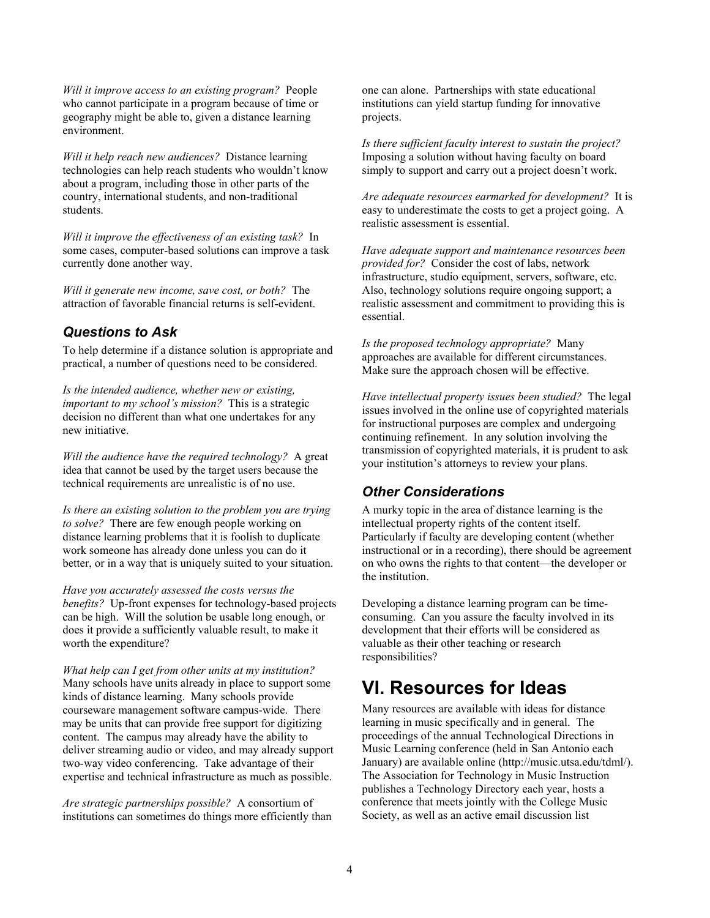*Will it improve access to an existing program?* People who cannot participate in a program because of time or geography might be able to, given a distance learning environment.

*Will it help reach new audiences?* Distance learning technologies can help reach students who wouldn't know about a program, including those in other parts of the country, international students, and non-traditional students.

*Will it improve the effectiveness of an existing task?* In some cases, computer-based solutions can improve a task currently done another way.

*Will it generate new income, save cost, or both?* The attraction of favorable financial returns is self-evident.

#### *Questions to Ask*

To help determine if a distance solution is appropriate and practical, a number of questions need to be considered.

*Is the intended audience, whether new or existing, important to my school's mission?* This is a strategic decision no different than what one undertakes for any new initiative.

*Will the audience have the required technology?* A great idea that cannot be used by the target users because the technical requirements are unrealistic is of no use.

*Is there an existing solution to the problem you are trying to solve?* There are few enough people working on distance learning problems that it is foolish to duplicate work someone has already done unless you can do it better, or in a way that is uniquely suited to your situation.

*Have you accurately assessed the costs versus the benefits?* Up-front expenses for technology-based projects can be high. Will the solution be usable long enough, or does it provide a sufficiently valuable result, to make it worth the expenditure?

*What help can I get from other units at my institution?* Many schools have units already in place to support some kinds of distance learning. Many schools provide courseware management software campus-wide. There may be units that can provide free support for digitizing content. The campus may already have the ability to deliver streaming audio or video, and may already support two-way video conferencing. Take advantage of their expertise and technical infrastructure as much as possible.

*Are strategic partnerships possible?* A consortium of institutions can sometimes do things more efficiently than one can alone. Partnerships with state educational institutions can yield startup funding for innovative projects.

*Is there sufficient faculty interest to sustain the project?* Imposing a solution without having faculty on board simply to support and carry out a project doesn't work.

*Are adequate resources earmarked for development?* It is easy to underestimate the costs to get a project going. A realistic assessment is essential.

*Have adequate support and maintenance resources been provided for?* Consider the cost of labs, network infrastructure, studio equipment, servers, software, etc. Also, technology solutions require ongoing support; a realistic assessment and commitment to providing this is essential.

*Is the proposed technology appropriate?* Many approaches are available for different circumstances. Make sure the approach chosen will be effective.

*Have intellectual property issues been studied?* The legal issues involved in the online use of copyrighted materials for instructional purposes are complex and undergoing continuing refinement. In any solution involving the transmission of copyrighted materials, it is prudent to ask your institution's attorneys to review your plans.

#### *Other Considerations*

A murky topic in the area of distance learning is the intellectual property rights of the content itself. Particularly if faculty are developing content (whether instructional or in a recording), there should be agreement on who owns the rights to that content—the developer or the institution.

Developing a distance learning program can be timeconsuming. Can you assure the faculty involved in its development that their efforts will be considered as valuable as their other teaching or research responsibilities?

#### **VI. Resources for Ideas**

Many resources are available with ideas for distance learning in music specifically and in general. The proceedings of the annual Technological Directions in Music Learning conference (held in San Antonio each January) are available online (http://music.utsa.edu/tdml/). The Association for Technology in Music Instruction publishes a Technology Directory each year, hosts a conference that meets jointly with the College Music Society, as well as an active email discussion list